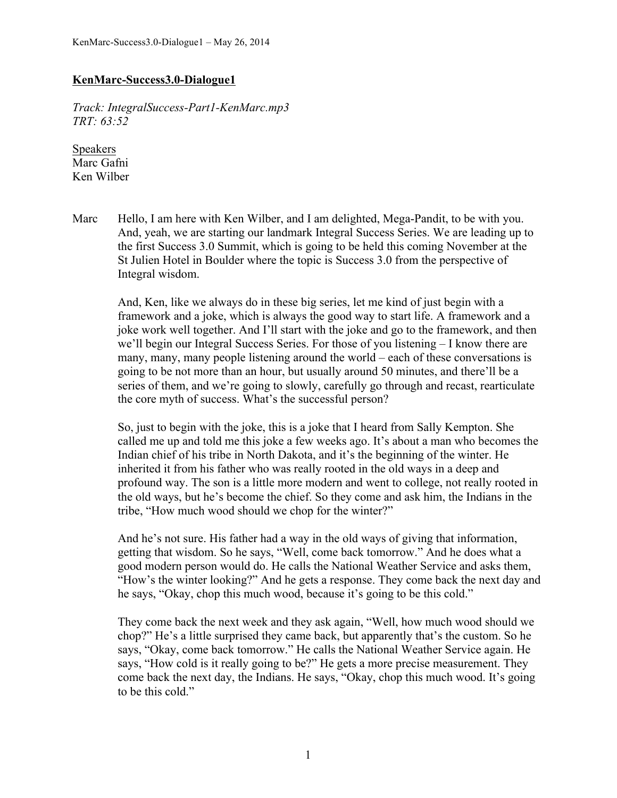## **KenMarc-Success3.0-Dialogue1**

*Track: IntegralSuccess-Part1-KenMarc.mp3 TRT: 63:52*

Speakers Marc Gafni Ken Wilber

Marc Hello, I am here with Ken Wilber, and I am delighted, Mega-Pandit, to be with you. And, yeah, we are starting our landmark Integral Success Series. We are leading up to the first Success 3.0 Summit, which is going to be held this coming November at the St Julien Hotel in Boulder where the topic is Success 3.0 from the perspective of Integral wisdom.

And, Ken, like we always do in these big series, let me kind of just begin with a framework and a joke, which is always the good way to start life. A framework and a joke work well together. And I'll start with the joke and go to the framework, and then we'll begin our Integral Success Series. For those of you listening – I know there are many, many, many people listening around the world – each of these conversations is going to be not more than an hour, but usually around 50 minutes, and there'll be a series of them, and we're going to slowly, carefully go through and recast, rearticulate the core myth of success. What's the successful person?

So, just to begin with the joke, this is a joke that I heard from Sally Kempton. She called me up and told me this joke a few weeks ago. It's about a man who becomes the Indian chief of his tribe in North Dakota, and it's the beginning of the winter. He inherited it from his father who was really rooted in the old ways in a deep and profound way. The son is a little more modern and went to college, not really rooted in the old ways, but he's become the chief. So they come and ask him, the Indians in the tribe, "How much wood should we chop for the winter?"

And he's not sure. His father had a way in the old ways of giving that information, getting that wisdom. So he says, "Well, come back tomorrow." And he does what a good modern person would do. He calls the National Weather Service and asks them, "How's the winter looking?" And he gets a response. They come back the next day and he says, "Okay, chop this much wood, because it's going to be this cold."

They come back the next week and they ask again, "Well, how much wood should we chop?" He's a little surprised they came back, but apparently that's the custom. So he says, "Okay, come back tomorrow." He calls the National Weather Service again. He says, "How cold is it really going to be?" He gets a more precise measurement. They come back the next day, the Indians. He says, "Okay, chop this much wood. It's going to be this cold."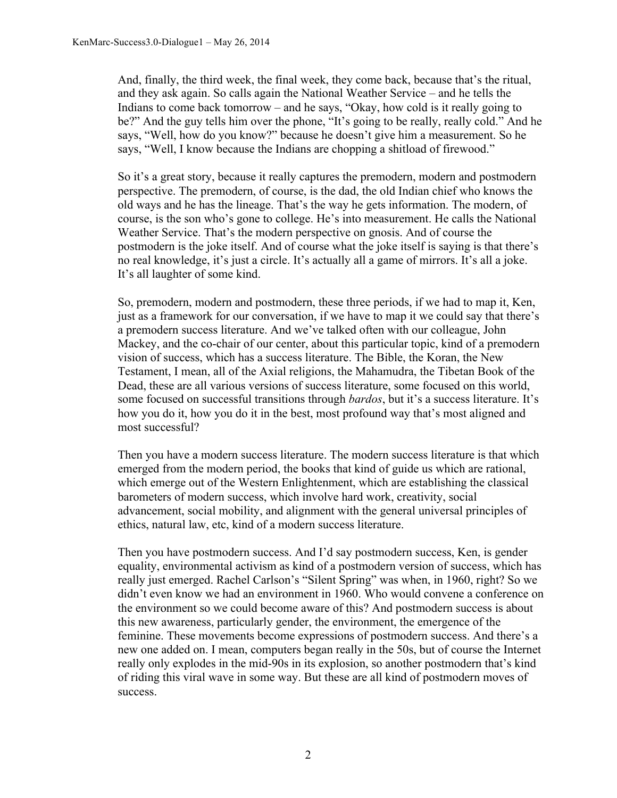And, finally, the third week, the final week, they come back, because that's the ritual, and they ask again. So calls again the National Weather Service – and he tells the Indians to come back tomorrow – and he says, "Okay, how cold is it really going to be?" And the guy tells him over the phone, "It's going to be really, really cold." And he says, "Well, how do you know?" because he doesn't give him a measurement. So he says, "Well, I know because the Indians are chopping a shitload of firewood."

So it's a great story, because it really captures the premodern, modern and postmodern perspective. The premodern, of course, is the dad, the old Indian chief who knows the old ways and he has the lineage. That's the way he gets information. The modern, of course, is the son who's gone to college. He's into measurement. He calls the National Weather Service. That's the modern perspective on gnosis. And of course the postmodern is the joke itself. And of course what the joke itself is saying is that there's no real knowledge, it's just a circle. It's actually all a game of mirrors. It's all a joke. It's all laughter of some kind.

So, premodern, modern and postmodern, these three periods, if we had to map it, Ken, just as a framework for our conversation, if we have to map it we could say that there's a premodern success literature. And we've talked often with our colleague, John Mackey, and the co-chair of our center, about this particular topic, kind of a premodern vision of success, which has a success literature. The Bible, the Koran, the New Testament, I mean, all of the Axial religions, the Mahamudra, the Tibetan Book of the Dead, these are all various versions of success literature, some focused on this world, some focused on successful transitions through *bardos*, but it's a success literature. It's how you do it, how you do it in the best, most profound way that's most aligned and most successful?

Then you have a modern success literature. The modern success literature is that which emerged from the modern period, the books that kind of guide us which are rational, which emerge out of the Western Enlightenment, which are establishing the classical barometers of modern success, which involve hard work, creativity, social advancement, social mobility, and alignment with the general universal principles of ethics, natural law, etc, kind of a modern success literature.

Then you have postmodern success. And I'd say postmodern success, Ken, is gender equality, environmental activism as kind of a postmodern version of success, which has really just emerged. Rachel Carlson's "Silent Spring" was when, in 1960, right? So we didn't even know we had an environment in 1960. Who would convene a conference on the environment so we could become aware of this? And postmodern success is about this new awareness, particularly gender, the environment, the emergence of the feminine. These movements become expressions of postmodern success. And there's a new one added on. I mean, computers began really in the 50s, but of course the Internet really only explodes in the mid-90s in its explosion, so another postmodern that's kind of riding this viral wave in some way. But these are all kind of postmodern moves of success.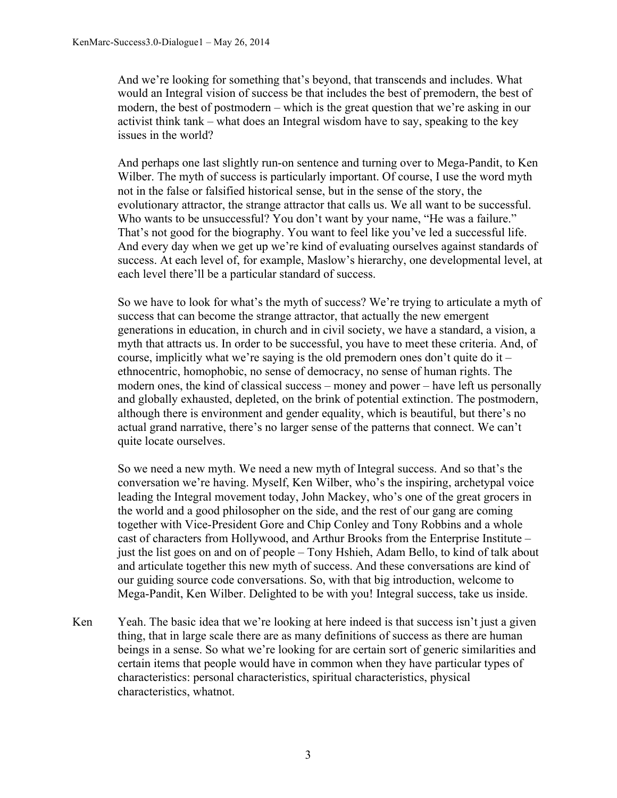And we're looking for something that's beyond, that transcends and includes. What would an Integral vision of success be that includes the best of premodern, the best of modern, the best of postmodern – which is the great question that we're asking in our activist think tank – what does an Integral wisdom have to say, speaking to the key issues in the world?

And perhaps one last slightly run-on sentence and turning over to Mega-Pandit, to Ken Wilber. The myth of success is particularly important. Of course, I use the word myth not in the false or falsified historical sense, but in the sense of the story, the evolutionary attractor, the strange attractor that calls us. We all want to be successful. Who wants to be unsuccessful? You don't want by your name, "He was a failure." That's not good for the biography. You want to feel like you've led a successful life. And every day when we get up we're kind of evaluating ourselves against standards of success. At each level of, for example, Maslow's hierarchy, one developmental level, at each level there'll be a particular standard of success.

So we have to look for what's the myth of success? We're trying to articulate a myth of success that can become the strange attractor, that actually the new emergent generations in education, in church and in civil society, we have a standard, a vision, a myth that attracts us. In order to be successful, you have to meet these criteria. And, of course, implicitly what we're saying is the old premodern ones don't quite do it – ethnocentric, homophobic, no sense of democracy, no sense of human rights. The modern ones, the kind of classical success – money and power – have left us personally and globally exhausted, depleted, on the brink of potential extinction. The postmodern, although there is environment and gender equality, which is beautiful, but there's no actual grand narrative, there's no larger sense of the patterns that connect. We can't quite locate ourselves.

So we need a new myth. We need a new myth of Integral success. And so that's the conversation we're having. Myself, Ken Wilber, who's the inspiring, archetypal voice leading the Integral movement today, John Mackey, who's one of the great grocers in the world and a good philosopher on the side, and the rest of our gang are coming together with Vice-President Gore and Chip Conley and Tony Robbins and a whole cast of characters from Hollywood, and Arthur Brooks from the Enterprise Institute – just the list goes on and on of people – Tony Hshieh, Adam Bello, to kind of talk about and articulate together this new myth of success. And these conversations are kind of our guiding source code conversations. So, with that big introduction, welcome to Mega-Pandit, Ken Wilber. Delighted to be with you! Integral success, take us inside.

Ken Yeah. The basic idea that we're looking at here indeed is that success isn't just a given thing, that in large scale there are as many definitions of success as there are human beings in a sense. So what we're looking for are certain sort of generic similarities and certain items that people would have in common when they have particular types of characteristics: personal characteristics, spiritual characteristics, physical characteristics, whatnot.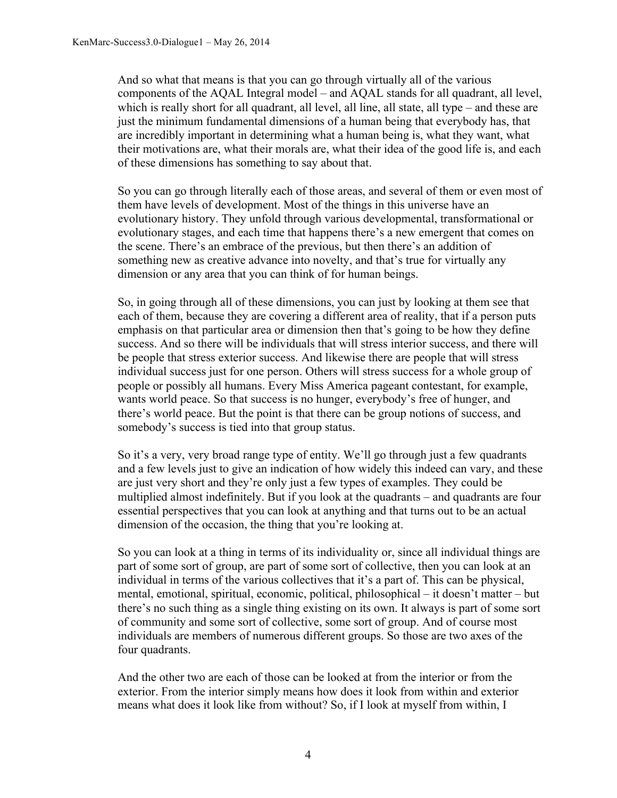And so what that means is that you can go through virtually all of the various components of the AQAL Integral model – and AQAL stands for all quadrant, all level, which is really short for all quadrant, all level, all line, all state, all type – and these are just the minimum fundamental dimensions of a human being that everybody has, that are incredibly important in determining what a human being is, what they want, what their motivations are, what their morals are, what their idea of the good life is, and each of these dimensions has something to say about that.

So you can go through literally each of those areas, and several of them or even most of them have levels of development. Most of the things in this universe have an evolutionary history. They unfold through various developmental, transformational or evolutionary stages, and each time that happens there's a new emergent that comes on the scene. There's an embrace of the previous, but then there's an addition of something new as creative advance into novelty, and that's true for virtually any dimension or any area that you can think of for human beings.

So, in going through all of these dimensions, you can just by looking at them see that each of them, because they are covering a different area of reality, that if a person puts emphasis on that particular area or dimension then that's going to be how they define success. And so there will be individuals that will stress interior success, and there will be people that stress exterior success. And likewise there are people that will stress individual success just for one person. Others will stress success for a whole group of people or possibly all humans. Every Miss America pageant contestant, for example, wants world peace. So that success is no hunger, everybody's free of hunger, and there's world peace. But the point is that there can be group notions of success, and somebody's success is tied into that group status.

So it's a very, very broad range type of entity. We'll go through just a few quadrants and a few levels just to give an indication of how widely this indeed can vary, and these are just very short and they're only just a few types of examples. They could be multiplied almost indefinitely. But if you look at the quadrants – and quadrants are four essential perspectives that you can look at anything and that turns out to be an actual dimension of the occasion, the thing that you're looking at.

So you can look at a thing in terms of its individuality or, since all individual things are part of some sort of group, are part of some sort of collective, then you can look at an individual in terms of the various collectives that it's a part of. This can be physical, mental, emotional, spiritual, economic, political, philosophical – it doesn't matter – but there's no such thing as a single thing existing on its own. It always is part of some sort of community and some sort of collective, some sort of group. And of course most individuals are members of numerous different groups. So those are two axes of the four quadrants.

And the other two are each of those can be looked at from the interior or from the exterior. From the interior simply means how does it look from within and exterior means what does it look like from without? So, if I look at myself from within, I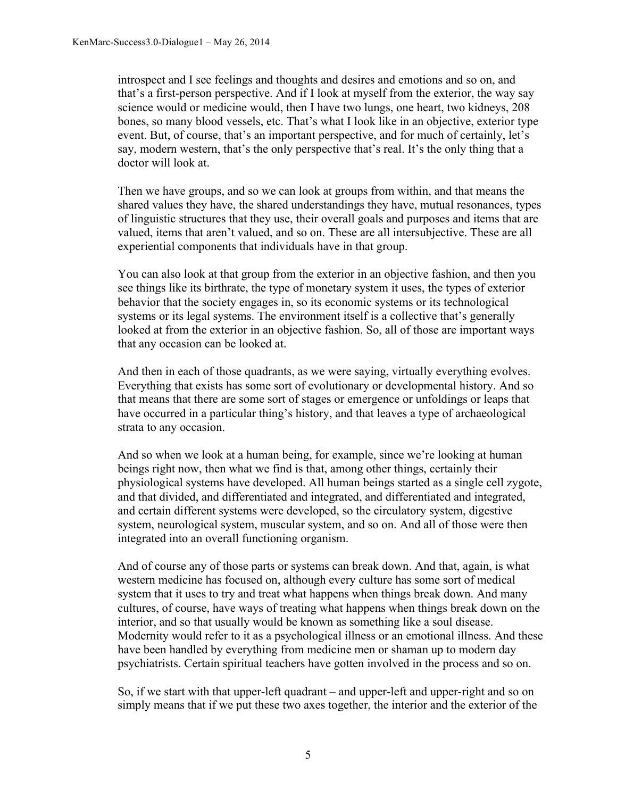introspect and I see feelings and thoughts and desires and emotions and so on, and that's a first-person perspective. And if I look at myself from the exterior, the way say science would or medicine would, then I have two lungs, one heart, two kidneys, 208 bones, so many blood vessels, etc. That's what I look like in an objective, exterior type event. But, of course, that's an important perspective, and for much of certainly, let's say, modern western, that's the only perspective that's real. It's the only thing that a doctor will look at.

Then we have groups, and so we can look at groups from within, and that means the shared values they have, the shared understandings they have, mutual resonances, types of linguistic structures that they use, their overall goals and purposes and items that are valued, items that aren't valued, and so on. These are all intersubjective. These are all experiential components that individuals have in that group.

You can also look at that group from the exterior in an objective fashion, and then you see things like its birthrate, the type of monetary system it uses, the types of exterior behavior that the society engages in, so its economic systems or its technological systems or its legal systems. The environment itself is a collective that's generally looked at from the exterior in an objective fashion. So, all of those are important ways that any occasion can be looked at.

And then in each of those quadrants, as we were saying, virtually everything evolves. Everything that exists has some sort of evolutionary or developmental history. And so that means that there are some sort of stages or emergence or unfoldings or leaps that have occurred in a particular thing's history, and that leaves a type of archaeological strata to any occasion.

And so when we look at a human being, for example, since we're looking at human beings right now, then what we find is that, among other things, certainly their physiological systems have developed. All human beings started as a single cell zygote, and that divided, and differentiated and integrated, and differentiated and integrated, and certain different systems were developed, so the circulatory system, digestive system, neurological system, muscular system, and so on. And all of those were then integrated into an overall functioning organism.

And of course any of those parts or systems can break down. And that, again, is what western medicine has focused on, although every culture has some sort of medical system that it uses to try and treat what happens when things break down. And many cultures, of course, have ways of treating what happens when things break down on the interior, and so that usually would be known as something like a soul disease. Modernity would refer to it as a psychological illness or an emotional illness. And these have been handled by everything from medicine men or shaman up to modern day psychiatrists. Certain spiritual teachers have gotten involved in the process and so on.

So, if we start with that upper-left quadrant – and upper-left and upper-right and so on simply means that if we put these two axes together, the interior and the exterior of the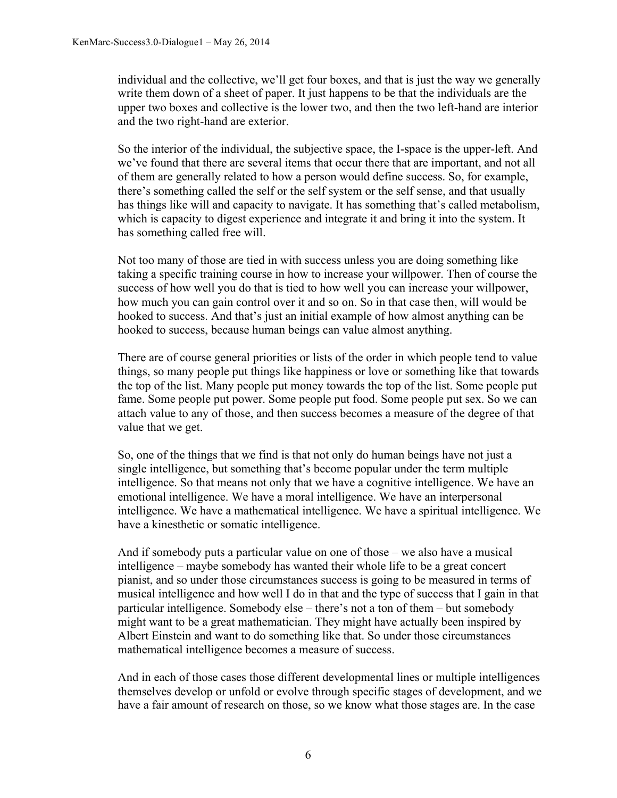individual and the collective, we'll get four boxes, and that is just the way we generally write them down of a sheet of paper. It just happens to be that the individuals are the upper two boxes and collective is the lower two, and then the two left-hand are interior and the two right-hand are exterior.

So the interior of the individual, the subjective space, the I-space is the upper-left. And we've found that there are several items that occur there that are important, and not all of them are generally related to how a person would define success. So, for example, there's something called the self or the self system or the self sense, and that usually has things like will and capacity to navigate. It has something that's called metabolism, which is capacity to digest experience and integrate it and bring it into the system. It has something called free will.

Not too many of those are tied in with success unless you are doing something like taking a specific training course in how to increase your willpower. Then of course the success of how well you do that is tied to how well you can increase your willpower, how much you can gain control over it and so on. So in that case then, will would be hooked to success. And that's just an initial example of how almost anything can be hooked to success, because human beings can value almost anything.

There are of course general priorities or lists of the order in which people tend to value things, so many people put things like happiness or love or something like that towards the top of the list. Many people put money towards the top of the list. Some people put fame. Some people put power. Some people put food. Some people put sex. So we can attach value to any of those, and then success becomes a measure of the degree of that value that we get.

So, one of the things that we find is that not only do human beings have not just a single intelligence, but something that's become popular under the term multiple intelligence. So that means not only that we have a cognitive intelligence. We have an emotional intelligence. We have a moral intelligence. We have an interpersonal intelligence. We have a mathematical intelligence. We have a spiritual intelligence. We have a kinesthetic or somatic intelligence.

And if somebody puts a particular value on one of those – we also have a musical intelligence – maybe somebody has wanted their whole life to be a great concert pianist, and so under those circumstances success is going to be measured in terms of musical intelligence and how well I do in that and the type of success that I gain in that particular intelligence. Somebody else – there's not a ton of them – but somebody might want to be a great mathematician. They might have actually been inspired by Albert Einstein and want to do something like that. So under those circumstances mathematical intelligence becomes a measure of success.

And in each of those cases those different developmental lines or multiple intelligences themselves develop or unfold or evolve through specific stages of development, and we have a fair amount of research on those, so we know what those stages are. In the case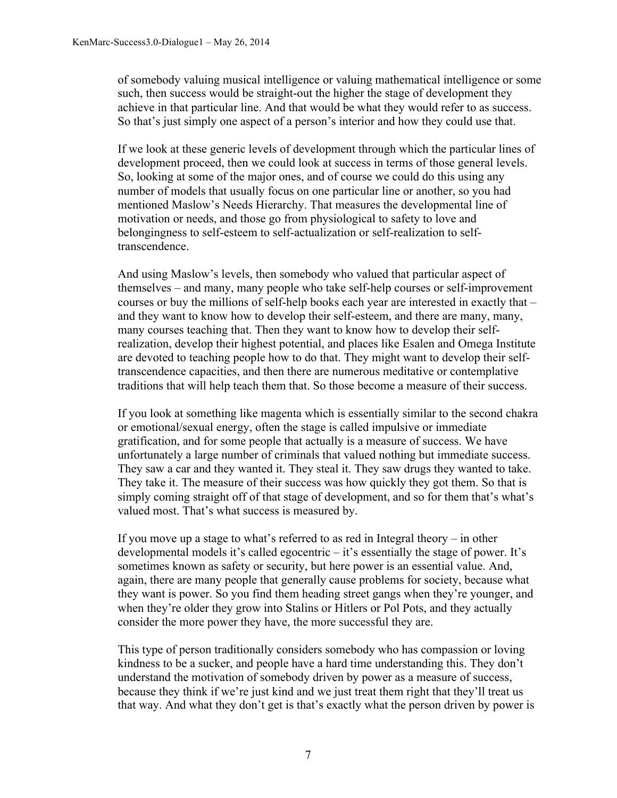of somebody valuing musical intelligence or valuing mathematical intelligence or some such, then success would be straight-out the higher the stage of development they achieve in that particular line. And that would be what they would refer to as success. So that's just simply one aspect of a person's interior and how they could use that.

If we look at these generic levels of development through which the particular lines of development proceed, then we could look at success in terms of those general levels. So, looking at some of the major ones, and of course we could do this using any number of models that usually focus on one particular line or another, so you had mentioned Maslow's Needs Hierarchy. That measures the developmental line of motivation or needs, and those go from physiological to safety to love and belongingness to self-esteem to self-actualization or self-realization to selftranscendence.

And using Maslow's levels, then somebody who valued that particular aspect of themselves – and many, many people who take self-help courses or self-improvement courses or buy the millions of self-help books each year are interested in exactly that – and they want to know how to develop their self-esteem, and there are many, many, many courses teaching that. Then they want to know how to develop their selfrealization, develop their highest potential, and places like Esalen and Omega Institute are devoted to teaching people how to do that. They might want to develop their selftranscendence capacities, and then there are numerous meditative or contemplative traditions that will help teach them that. So those become a measure of their success.

If you look at something like magenta which is essentially similar to the second chakra or emotional/sexual energy, often the stage is called impulsive or immediate gratification, and for some people that actually is a measure of success. We have unfortunately a large number of criminals that valued nothing but immediate success. They saw a car and they wanted it. They steal it. They saw drugs they wanted to take. They take it. The measure of their success was how quickly they got them. So that is simply coming straight off of that stage of development, and so for them that's what's valued most. That's what success is measured by.

If you move up a stage to what's referred to as red in Integral theory – in other developmental models it's called egocentric – it's essentially the stage of power. It's sometimes known as safety or security, but here power is an essential value. And, again, there are many people that generally cause problems for society, because what they want is power. So you find them heading street gangs when they're younger, and when they're older they grow into Stalins or Hitlers or Pol Pots, and they actually consider the more power they have, the more successful they are.

This type of person traditionally considers somebody who has compassion or loving kindness to be a sucker, and people have a hard time understanding this. They don't understand the motivation of somebody driven by power as a measure of success, because they think if we're just kind and we just treat them right that they'll treat us that way. And what they don't get is that's exactly what the person driven by power is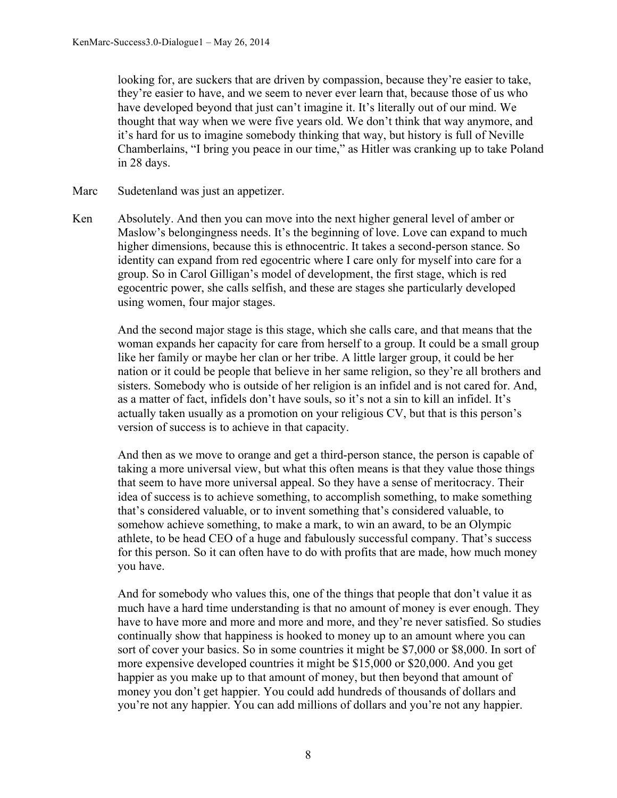looking for, are suckers that are driven by compassion, because they're easier to take, they're easier to have, and we seem to never ever learn that, because those of us who have developed beyond that just can't imagine it. It's literally out of our mind. We thought that way when we were five years old. We don't think that way anymore, and it's hard for us to imagine somebody thinking that way, but history is full of Neville Chamberlains, "I bring you peace in our time," as Hitler was cranking up to take Poland in 28 days.

- Marc Sudetenland was just an appetizer.
- Ken Absolutely. And then you can move into the next higher general level of amber or Maslow's belongingness needs. It's the beginning of love. Love can expand to much higher dimensions, because this is ethnocentric. It takes a second-person stance. So identity can expand from red egocentric where I care only for myself into care for a group. So in Carol Gilligan's model of development, the first stage, which is red egocentric power, she calls selfish, and these are stages she particularly developed using women, four major stages.

And the second major stage is this stage, which she calls care, and that means that the woman expands her capacity for care from herself to a group. It could be a small group like her family or maybe her clan or her tribe. A little larger group, it could be her nation or it could be people that believe in her same religion, so they're all brothers and sisters. Somebody who is outside of her religion is an infidel and is not cared for. And, as a matter of fact, infidels don't have souls, so it's not a sin to kill an infidel. It's actually taken usually as a promotion on your religious CV, but that is this person's version of success is to achieve in that capacity.

And then as we move to orange and get a third-person stance, the person is capable of taking a more universal view, but what this often means is that they value those things that seem to have more universal appeal. So they have a sense of meritocracy. Their idea of success is to achieve something, to accomplish something, to make something that's considered valuable, or to invent something that's considered valuable, to somehow achieve something, to make a mark, to win an award, to be an Olympic athlete, to be head CEO of a huge and fabulously successful company. That's success for this person. So it can often have to do with profits that are made, how much money you have.

And for somebody who values this, one of the things that people that don't value it as much have a hard time understanding is that no amount of money is ever enough. They have to have more and more and more and more, and they're never satisfied. So studies continually show that happiness is hooked to money up to an amount where you can sort of cover your basics. So in some countries it might be \$7,000 or \$8,000. In sort of more expensive developed countries it might be \$15,000 or \$20,000. And you get happier as you make up to that amount of money, but then beyond that amount of money you don't get happier. You could add hundreds of thousands of dollars and you're not any happier. You can add millions of dollars and you're not any happier.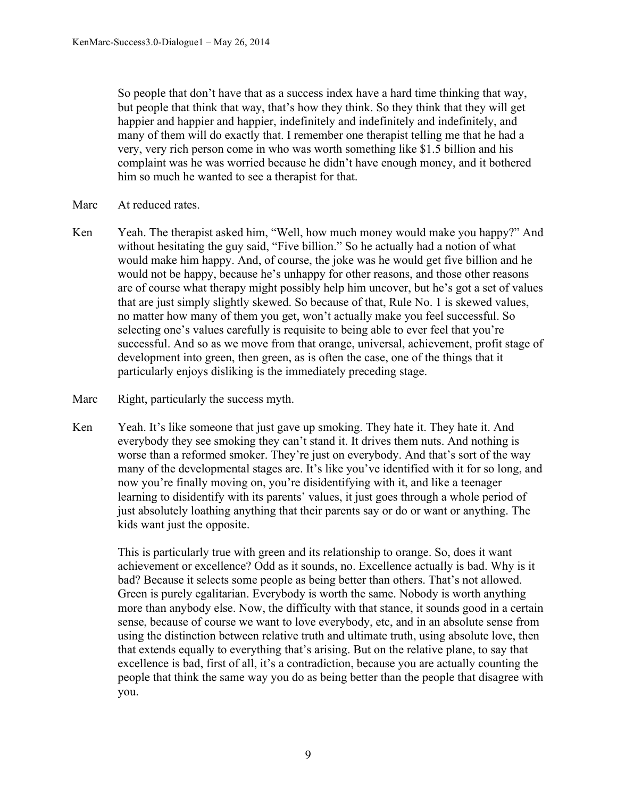So people that don't have that as a success index have a hard time thinking that way, but people that think that way, that's how they think. So they think that they will get happier and happier and happier, indefinitely and indefinitely and indefinitely, and many of them will do exactly that. I remember one therapist telling me that he had a very, very rich person come in who was worth something like \$1.5 billion and his complaint was he was worried because he didn't have enough money, and it bothered him so much he wanted to see a therapist for that.

- Marc At reduced rates.
- Ken Yeah. The therapist asked him, "Well, how much money would make you happy?" And without hesitating the guy said, "Five billion." So he actually had a notion of what would make him happy. And, of course, the joke was he would get five billion and he would not be happy, because he's unhappy for other reasons, and those other reasons are of course what therapy might possibly help him uncover, but he's got a set of values that are just simply slightly skewed. So because of that, Rule No. 1 is skewed values, no matter how many of them you get, won't actually make you feel successful. So selecting one's values carefully is requisite to being able to ever feel that you're successful. And so as we move from that orange, universal, achievement, profit stage of development into green, then green, as is often the case, one of the things that it particularly enjoys disliking is the immediately preceding stage.
- Marc Right, particularly the success myth.
- Ken Yeah. It's like someone that just gave up smoking. They hate it. They hate it. And everybody they see smoking they can't stand it. It drives them nuts. And nothing is worse than a reformed smoker. They're just on everybody. And that's sort of the way many of the developmental stages are. It's like you've identified with it for so long, and now you're finally moving on, you're disidentifying with it, and like a teenager learning to disidentify with its parents' values, it just goes through a whole period of just absolutely loathing anything that their parents say or do or want or anything. The kids want just the opposite.

This is particularly true with green and its relationship to orange. So, does it want achievement or excellence? Odd as it sounds, no. Excellence actually is bad. Why is it bad? Because it selects some people as being better than others. That's not allowed. Green is purely egalitarian. Everybody is worth the same. Nobody is worth anything more than anybody else. Now, the difficulty with that stance, it sounds good in a certain sense, because of course we want to love everybody, etc, and in an absolute sense from using the distinction between relative truth and ultimate truth, using absolute love, then that extends equally to everything that's arising. But on the relative plane, to say that excellence is bad, first of all, it's a contradiction, because you are actually counting the people that think the same way you do as being better than the people that disagree with you.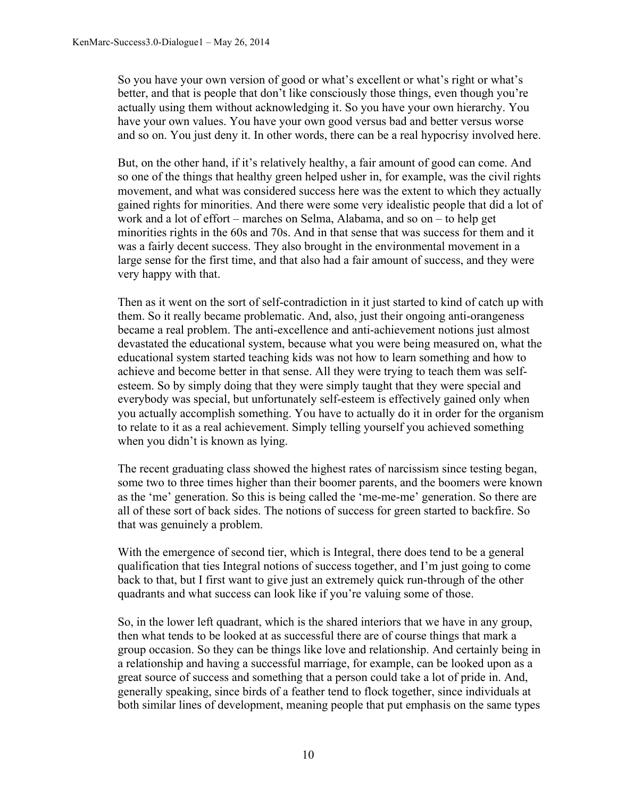So you have your own version of good or what's excellent or what's right or what's better, and that is people that don't like consciously those things, even though you're actually using them without acknowledging it. So you have your own hierarchy. You have your own values. You have your own good versus bad and better versus worse and so on. You just deny it. In other words, there can be a real hypocrisy involved here.

But, on the other hand, if it's relatively healthy, a fair amount of good can come. And so one of the things that healthy green helped usher in, for example, was the civil rights movement, and what was considered success here was the extent to which they actually gained rights for minorities. And there were some very idealistic people that did a lot of work and a lot of effort – marches on Selma, Alabama, and so on – to help get minorities rights in the 60s and 70s. And in that sense that was success for them and it was a fairly decent success. They also brought in the environmental movement in a large sense for the first time, and that also had a fair amount of success, and they were very happy with that.

Then as it went on the sort of self-contradiction in it just started to kind of catch up with them. So it really became problematic. And, also, just their ongoing anti-orangeness became a real problem. The anti-excellence and anti-achievement notions just almost devastated the educational system, because what you were being measured on, what the educational system started teaching kids was not how to learn something and how to achieve and become better in that sense. All they were trying to teach them was selfesteem. So by simply doing that they were simply taught that they were special and everybody was special, but unfortunately self-esteem is effectively gained only when you actually accomplish something. You have to actually do it in order for the organism to relate to it as a real achievement. Simply telling yourself you achieved something when you didn't is known as lying.

The recent graduating class showed the highest rates of narcissism since testing began, some two to three times higher than their boomer parents, and the boomers were known as the 'me' generation. So this is being called the 'me-me-me' generation. So there are all of these sort of back sides. The notions of success for green started to backfire. So that was genuinely a problem.

With the emergence of second tier, which is Integral, there does tend to be a general qualification that ties Integral notions of success together, and I'm just going to come back to that, but I first want to give just an extremely quick run-through of the other quadrants and what success can look like if you're valuing some of those.

So, in the lower left quadrant, which is the shared interiors that we have in any group, then what tends to be looked at as successful there are of course things that mark a group occasion. So they can be things like love and relationship. And certainly being in a relationship and having a successful marriage, for example, can be looked upon as a great source of success and something that a person could take a lot of pride in. And, generally speaking, since birds of a feather tend to flock together, since individuals at both similar lines of development, meaning people that put emphasis on the same types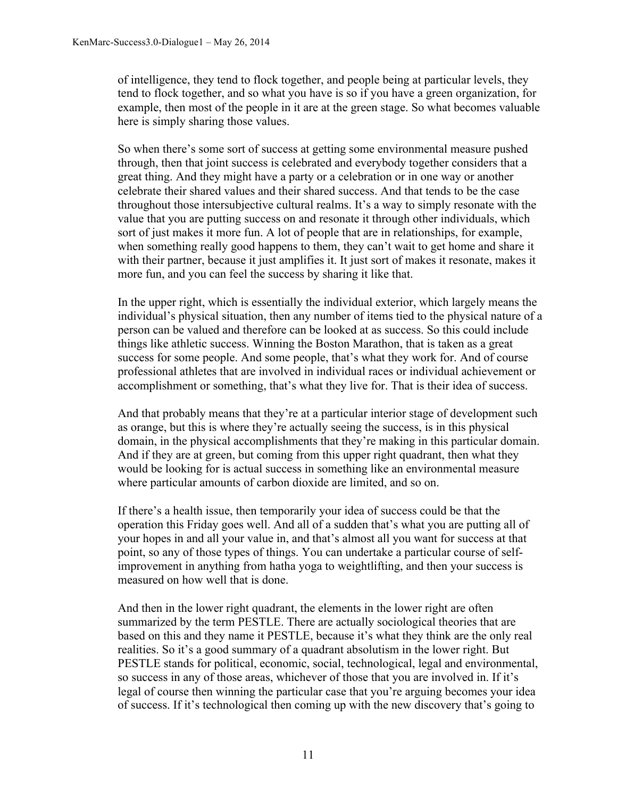of intelligence, they tend to flock together, and people being at particular levels, they tend to flock together, and so what you have is so if you have a green organization, for example, then most of the people in it are at the green stage. So what becomes valuable here is simply sharing those values.

So when there's some sort of success at getting some environmental measure pushed through, then that joint success is celebrated and everybody together considers that a great thing. And they might have a party or a celebration or in one way or another celebrate their shared values and their shared success. And that tends to be the case throughout those intersubjective cultural realms. It's a way to simply resonate with the value that you are putting success on and resonate it through other individuals, which sort of just makes it more fun. A lot of people that are in relationships, for example, when something really good happens to them, they can't wait to get home and share it with their partner, because it just amplifies it. It just sort of makes it resonate, makes it more fun, and you can feel the success by sharing it like that.

In the upper right, which is essentially the individual exterior, which largely means the individual's physical situation, then any number of items tied to the physical nature of a person can be valued and therefore can be looked at as success. So this could include things like athletic success. Winning the Boston Marathon, that is taken as a great success for some people. And some people, that's what they work for. And of course professional athletes that are involved in individual races or individual achievement or accomplishment or something, that's what they live for. That is their idea of success.

And that probably means that they're at a particular interior stage of development such as orange, but this is where they're actually seeing the success, is in this physical domain, in the physical accomplishments that they're making in this particular domain. And if they are at green, but coming from this upper right quadrant, then what they would be looking for is actual success in something like an environmental measure where particular amounts of carbon dioxide are limited, and so on.

If there's a health issue, then temporarily your idea of success could be that the operation this Friday goes well. And all of a sudden that's what you are putting all of your hopes in and all your value in, and that's almost all you want for success at that point, so any of those types of things. You can undertake a particular course of selfimprovement in anything from hatha yoga to weightlifting, and then your success is measured on how well that is done.

And then in the lower right quadrant, the elements in the lower right are often summarized by the term PESTLE. There are actually sociological theories that are based on this and they name it PESTLE, because it's what they think are the only real realities. So it's a good summary of a quadrant absolutism in the lower right. But PESTLE stands for political, economic, social, technological, legal and environmental, so success in any of those areas, whichever of those that you are involved in. If it's legal of course then winning the particular case that you're arguing becomes your idea of success. If it's technological then coming up with the new discovery that's going to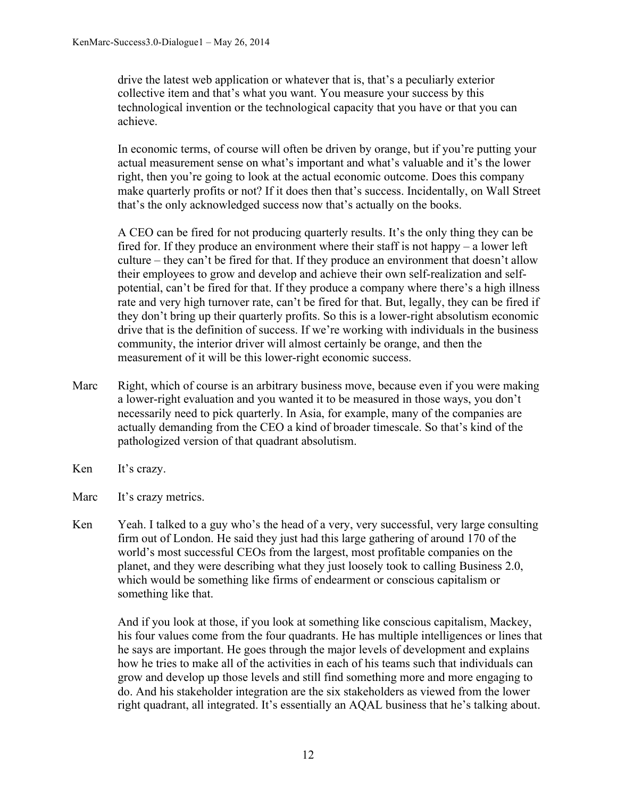drive the latest web application or whatever that is, that's a peculiarly exterior collective item and that's what you want. You measure your success by this technological invention or the technological capacity that you have or that you can achieve.

In economic terms, of course will often be driven by orange, but if you're putting your actual measurement sense on what's important and what's valuable and it's the lower right, then you're going to look at the actual economic outcome. Does this company make quarterly profits or not? If it does then that's success. Incidentally, on Wall Street that's the only acknowledged success now that's actually on the books.

A CEO can be fired for not producing quarterly results. It's the only thing they can be fired for. If they produce an environment where their staff is not happy – a lower left culture – they can't be fired for that. If they produce an environment that doesn't allow their employees to grow and develop and achieve their own self-realization and selfpotential, can't be fired for that. If they produce a company where there's a high illness rate and very high turnover rate, can't be fired for that. But, legally, they can be fired if they don't bring up their quarterly profits. So this is a lower-right absolutism economic drive that is the definition of success. If we're working with individuals in the business community, the interior driver will almost certainly be orange, and then the measurement of it will be this lower-right economic success.

- Marc Right, which of course is an arbitrary business move, because even if you were making a lower-right evaluation and you wanted it to be measured in those ways, you don't necessarily need to pick quarterly. In Asia, for example, many of the companies are actually demanding from the CEO a kind of broader timescale. So that's kind of the pathologized version of that quadrant absolutism.
- Ken It's crazy.
- Marc It's crazy metrics.
- Ken Yeah. I talked to a guy who's the head of a very, very successful, very large consulting firm out of London. He said they just had this large gathering of around 170 of the world's most successful CEOs from the largest, most profitable companies on the planet, and they were describing what they just loosely took to calling Business 2.0, which would be something like firms of endearment or conscious capitalism or something like that.

And if you look at those, if you look at something like conscious capitalism, Mackey, his four values come from the four quadrants. He has multiple intelligences or lines that he says are important. He goes through the major levels of development and explains how he tries to make all of the activities in each of his teams such that individuals can grow and develop up those levels and still find something more and more engaging to do. And his stakeholder integration are the six stakeholders as viewed from the lower right quadrant, all integrated. It's essentially an AQAL business that he's talking about.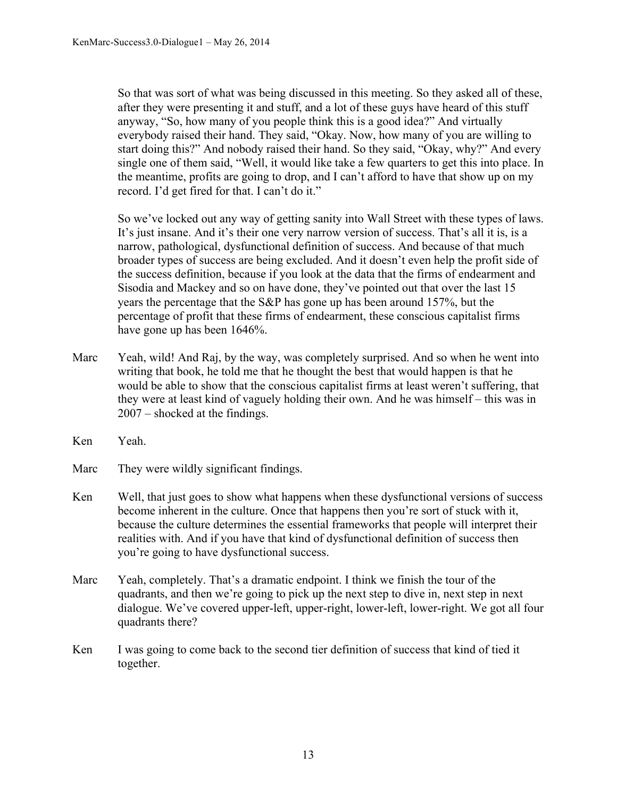So that was sort of what was being discussed in this meeting. So they asked all of these, after they were presenting it and stuff, and a lot of these guys have heard of this stuff anyway, "So, how many of you people think this is a good idea?" And virtually everybody raised their hand. They said, "Okay. Now, how many of you are willing to start doing this?" And nobody raised their hand. So they said, "Okay, why?" And every single one of them said, "Well, it would like take a few quarters to get this into place. In the meantime, profits are going to drop, and I can't afford to have that show up on my record. I'd get fired for that. I can't do it."

So we've locked out any way of getting sanity into Wall Street with these types of laws. It's just insane. And it's their one very narrow version of success. That's all it is, is a narrow, pathological, dysfunctional definition of success. And because of that much broader types of success are being excluded. And it doesn't even help the profit side of the success definition, because if you look at the data that the firms of endearment and Sisodia and Mackey and so on have done, they've pointed out that over the last 15 years the percentage that the S&P has gone up has been around 157%, but the percentage of profit that these firms of endearment, these conscious capitalist firms have gone up has been 1646%.

- Marc Yeah, wild! And Raj, by the way, was completely surprised. And so when he went into writing that book, he told me that he thought the best that would happen is that he would be able to show that the conscious capitalist firms at least weren't suffering, that they were at least kind of vaguely holding their own. And he was himself – this was in 2007 – shocked at the findings.
- Ken Yeah.
- Marc They were wildly significant findings.
- Ken Well, that just goes to show what happens when these dysfunctional versions of success become inherent in the culture. Once that happens then you're sort of stuck with it, because the culture determines the essential frameworks that people will interpret their realities with. And if you have that kind of dysfunctional definition of success then you're going to have dysfunctional success.
- Marc Yeah, completely. That's a dramatic endpoint. I think we finish the tour of the quadrants, and then we're going to pick up the next step to dive in, next step in next dialogue. We've covered upper-left, upper-right, lower-left, lower-right. We got all four quadrants there?
- Ken I was going to come back to the second tier definition of success that kind of tied it together.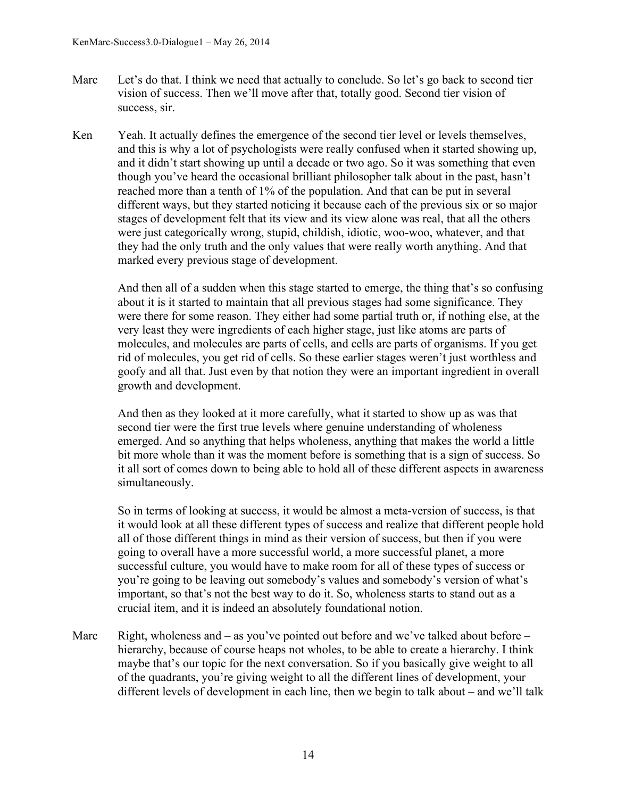- Marc Let's do that. I think we need that actually to conclude. So let's go back to second tier vision of success. Then we'll move after that, totally good. Second tier vision of success, sir.
- Ken Yeah. It actually defines the emergence of the second tier level or levels themselves, and this is why a lot of psychologists were really confused when it started showing up, and it didn't start showing up until a decade or two ago. So it was something that even though you've heard the occasional brilliant philosopher talk about in the past, hasn't reached more than a tenth of 1% of the population. And that can be put in several different ways, but they started noticing it because each of the previous six or so major stages of development felt that its view and its view alone was real, that all the others were just categorically wrong, stupid, childish, idiotic, woo-woo, whatever, and that they had the only truth and the only values that were really worth anything. And that marked every previous stage of development.

And then all of a sudden when this stage started to emerge, the thing that's so confusing about it is it started to maintain that all previous stages had some significance. They were there for some reason. They either had some partial truth or, if nothing else, at the very least they were ingredients of each higher stage, just like atoms are parts of molecules, and molecules are parts of cells, and cells are parts of organisms. If you get rid of molecules, you get rid of cells. So these earlier stages weren't just worthless and goofy and all that. Just even by that notion they were an important ingredient in overall growth and development.

And then as they looked at it more carefully, what it started to show up as was that second tier were the first true levels where genuine understanding of wholeness emerged. And so anything that helps wholeness, anything that makes the world a little bit more whole than it was the moment before is something that is a sign of success. So it all sort of comes down to being able to hold all of these different aspects in awareness simultaneously.

So in terms of looking at success, it would be almost a meta-version of success, is that it would look at all these different types of success and realize that different people hold all of those different things in mind as their version of success, but then if you were going to overall have a more successful world, a more successful planet, a more successful culture, you would have to make room for all of these types of success or you're going to be leaving out somebody's values and somebody's version of what's important, so that's not the best way to do it. So, wholeness starts to stand out as a crucial item, and it is indeed an absolutely foundational notion.

Marc Right, wholeness and – as you've pointed out before and we've talked about before – hierarchy, because of course heaps not wholes, to be able to create a hierarchy. I think maybe that's our topic for the next conversation. So if you basically give weight to all of the quadrants, you're giving weight to all the different lines of development, your different levels of development in each line, then we begin to talk about – and we'll talk